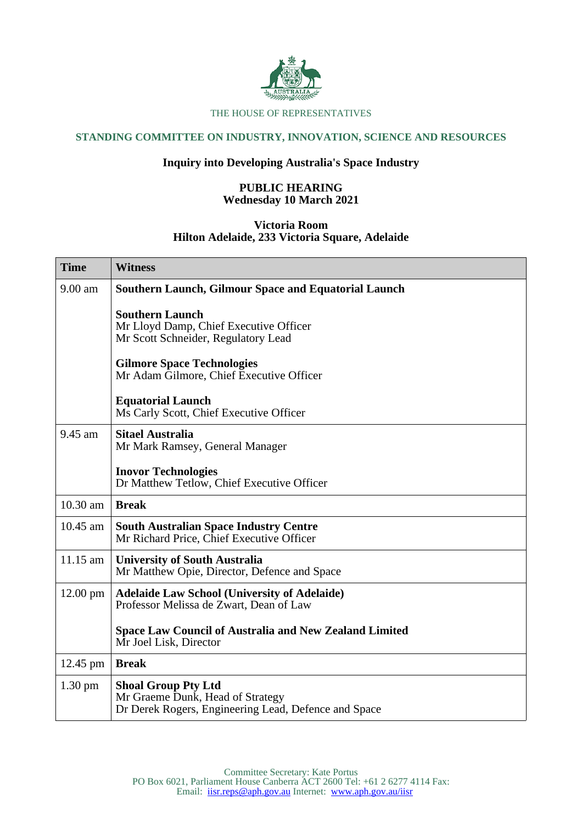

### THE HOUSE OF REPRESENTATIVES

# **STANDING COMMITTEE ON INDUSTRY, INNOVATION, SCIENCE AND RESOURCES**

## **Inquiry into Developing Australia's Space Industry**

## **PUBLIC HEARING Wednesday 10 March 2021**

### **Victoria Room Hilton Adelaide, 233 Victoria Square, Adelaide**

| <b>Time</b>       | <b>Witness</b>                                                                                                         |
|-------------------|------------------------------------------------------------------------------------------------------------------------|
| 9.00 am           | Southern Launch, Gilmour Space and Equatorial Launch                                                                   |
|                   | <b>Southern Launch</b><br>Mr Lloyd Damp, Chief Executive Officer<br>Mr Scott Schneider, Regulatory Lead                |
|                   | <b>Gilmore Space Technologies</b><br>Mr Adam Gilmore, Chief Executive Officer                                          |
|                   | <b>Equatorial Launch</b><br>Ms Carly Scott, Chief Executive Officer                                                    |
| 9.45 am           | <b>Sitael Australia</b><br>Mr Mark Ramsey, General Manager                                                             |
|                   | <b>Inovor Technologies</b><br>Dr Matthew Tetlow, Chief Executive Officer                                               |
| 10.30 am          | <b>Break</b>                                                                                                           |
| 10.45 am          | <b>South Australian Space Industry Centre</b><br>Mr Richard Price, Chief Executive Officer                             |
| 11.15 am          | <b>University of South Australia</b><br>Mr Matthew Opie, Director, Defence and Space                                   |
| 12.00 pm          | <b>Adelaide Law School (University of Adelaide)</b><br>Professor Melissa de Zwart, Dean of Law                         |
|                   | <b>Space Law Council of Australia and New Zealand Limited</b><br>Mr Joel Lisk, Director                                |
| 12.45 pm          | <b>Break</b>                                                                                                           |
| $1.30 \text{ pm}$ | <b>Shoal Group Pty Ltd</b><br>Mr Graeme Dunk, Head of Strategy<br>Dr Derek Rogers, Engineering Lead, Defence and Space |